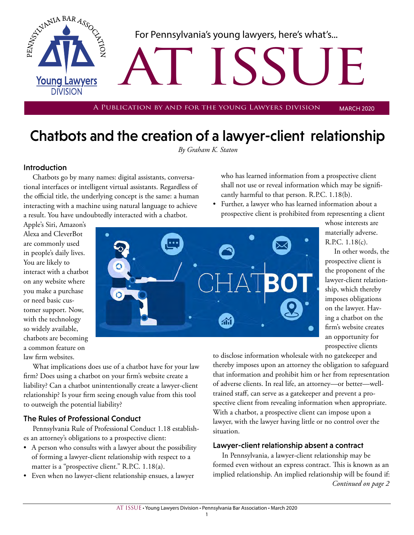

## Chatbots and the creation of a lawyer-client relationship

*By Graham K. Staton*

#### Introduction

Chatbots go by many names: digital assistants, conversational interfaces or intelligent virtual assistants. Regardless of the official title, the underlying concept is the same: a human interacting with a machine using natural language to achieve a result. You have undoubtedly interacted with a chatbot.

who has learned information from a prospective client shall not use or reveal information which may be significantly harmful to that person. R.P.C. 1.18(b).

• Further, a lawyer who has learned information about a prospective client is prohibited from representing a client

Apple's Siri, Amazon's Alexa and CleverBot are commonly used in people's daily lives. You are likely to interact with a chatbot on any website where you make a purchase or need basic customer support. Now, with the technology so widely available, chatbots are becoming a common feature on law firm websites.



whose interests are materially adverse. R.P.C. 1.18(c).

In other words, the prospective client is the proponent of the lawyer-client relationship, which thereby imposes obligations on the lawyer. Having a chatbot on the firm's website creates an opportunity for prospective clients

What implications does use of a chatbot have for your law firm? Does using a chatbot on your firm's website create a liability? Can a chatbot unintentionally create a lawyer-client relationship? Is your firm seeing enough value from this tool to outweigh the potential liability?

### The Rules of Professional Conduct

Pennsylvania Rule of Professional Conduct 1.18 establishes an attorney's obligations to a prospective client:

- A person who consults with a lawyer about the possibility of forming a lawyer-client relationship with respect to a matter is a "prospective client." R.P.C. 1.18(a).
- Even when no lawyer-client relationship ensues, a lawyer

to disclose information wholesale with no gatekeeper and thereby imposes upon an attorney the obligation to safeguard that information and prohibit him or her from representation of adverse clients. In real life, an attorney—or better—welltrained staff, can serve as a gatekeeper and prevent a prospective client from revealing information when appropriate. With a chatbot, a prospective client can impose upon a lawyer, with the lawyer having little or no control over the situation.

#### Lawyer-client relationship absent a contract

*Continued on page 2* In Pennsylvania, a lawyer-client relationship may be formed even without an express contract. This is known as an implied relationship. An implied relationship will be found if: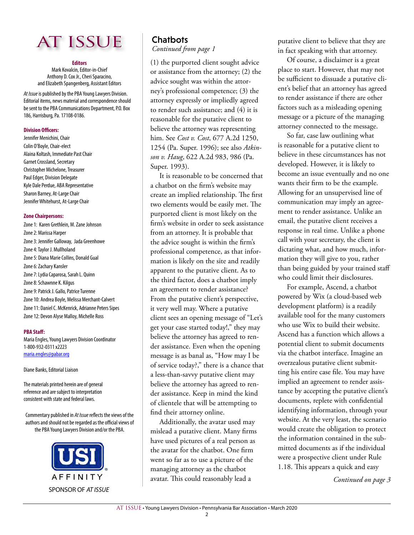

#### **Editors**

Mark Kovalcin, Editor-in-Chief Anthony D. Cox Jr., Cheri Sparacino, and Elizabeth Spangenberg, Assistant Editors

*At Issue* is published by the PBA Young Lawyers Division. Editorial items, news material and correspondence should be sent to the PBA Communications Department, P.O. Box 186, Harrisburg, Pa. 17108-0186.

#### **Division Officers:**

Jennifer Menichini, Chair Colin O'Boyle, Chair-elect Alaina Koltash, Immediate Past Chair Garnet Crossland, Secretary Christopher Michelone, Treasurer Paul Edger, Division Delegate Kyle Dale Perdue, ABA Representative Sharon Barney, At-Large Chair Jennifer Whitehurst, At-Large Chair

#### **Zone Chairpersons:**

Zone 1: Karen Grethlein, M. Zane Johnson Zone 2: Marissa Harper Zone 3: Jennifer Galloway, Jada Greenhowe Zone 4: Taylor J. Mullholand Zone 5: Diana Marie Collins, Donald Gual Zone 6: Zachary Kansler Zone 7: Lydia Caparosa, Sarah L. Quinn Zone 8: Schawnne K. Kilgus Zone 9: Patrick J. Gallo, Patrice Turenne Zone 10: Andrea Boyle, Melissa Merchant-Calvert Zone 11: Daniel C. McKenrick, Adrianne Peters Sipes Zone 12: Devon Alyse Malloy, Michelle Ross

#### **PBA Staff:**

Maria Engles, Young Lawyers Division Coordinator 1-800-932-0311 x2223 maria.engles@pabar.org

Diane Banks, Editorial Liaison

The materials printed herein are of general reference and are subject to interpretation consistent with state and federal laws.

Commentary published in *At Issue* reflects the views of the authors and should not be regarded as the official views of the PBA Young Lawyers Division and/or the PBA.



## **Chatbots**

*Continued from page 1*

(1) the purported client sought advice or assistance from the attorney; (2) the advice sought was within the attorney's professional competence; (3) the attorney expressly or impliedly agreed to render such assistance; and (4) it is reasonable for the putative client to believe the attorney was representing him. See *Cost v. Cost*, 677 A.2d 1250, 1254 (Pa. Super. 1996); see also *Atkinson v. Haug*, 622 A.2d 983, 986 (Pa. Super. 1993).

It is reasonable to be concerned that a chatbot on the firm's website may create an implied relationship. The first two elements would be easily met. The purported client is most likely on the firm's website in order to seek assistance from an attorney. It is probable that the advice sought is within the firm's professional competence, as that information is likely on the site and readily apparent to the putative client. As to the third factor, does a chatbot imply an agreement to render assistance? From the putative client's perspective, it very well may. Where a putative client sees an opening message of "Let's get your case started today!," they may believe the attorney has agreed to render assistance. Even when the opening message is as banal as, "How may I be of service today?," there is a chance that a less-than-savvy putative client may believe the attorney has agreed to render assistance. Keep in mind the kind of clientele that will be attempting to find their attorney online.

Additionally, the avatar used may mislead a putative client. Many firms have used pictures of a real person as the avatar for the chatbot. One firm went so far as to use a picture of the managing attorney as the chatbot avatar. This could reasonably lead a

putative client to believe that they are in fact speaking with that attorney.

Of course, a disclaimer is a great place to start. However, that may not be sufficient to dissuade a putative client's belief that an attorney has agreed to render assistance if there are other factors such as a misleading opening message or a picture of the managing attorney connected to the message.

So far, case law outlining what is reasonable for a putative client to believe in these circumstances has not developed. However, it is likely to become an issue eventually and no one wants their firm to be the example. Allowing for an unsupervised line of communication may imply an agreement to render assistance. Unlike an email, the putative client receives a response in real time. Unlike a phone call with your secretary, the client is dictating what, and how much, information they will give to you, rather than being guided by your trained staff who could limit their disclosures.

For example, Ascend, a chatbot powered by Wix (a cloud-based web development platform) is a readily available tool for the many customers who use Wix to build their website. Ascend has a function which allows a potential client to submit documents via the chatbot interface. Imagine an overzealous putative client submitting his entire case file. You may have implied an agreement to render assistance by accepting the putative client's documents, replete with confidential identifying information, through your website. At the very least, the scenario would create the obligation to protect the information contained in the submitted documents as if the individual were a prospective client under Rule 1.18. This appears a quick and easy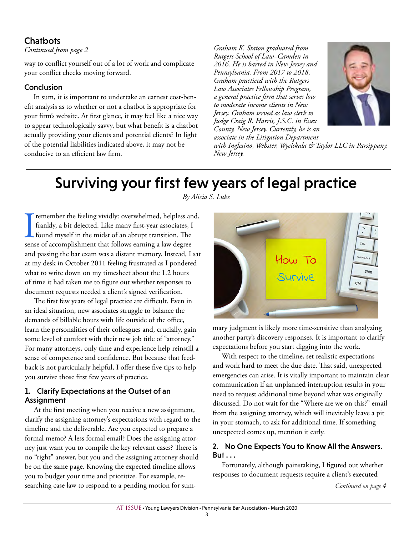### **Chatbots**

### *Continued from page 2*

way to conflict yourself out of a lot of work and complicate your conflict checks moving forward.

#### Conclusion

In sum, it is important to undertake an earnest cost-benefit analysis as to whether or not a chatbot is appropriate for your firm's website. At first glance, it may feel like a nice way to appear technologically savvy, but what benefit is a chatbot actually providing your clients and potential clients? In light of the potential liabilities indicated above, it may not be conducive to an efficient law firm.

*Graham K. Staton graduated from Rutgers School of Law–Camden in 2016. He is barred in New Jersey and Pennsylvania. From 2017 to 2018, Graham practiced with the Rutgers Law Associates Fellowship Program, a general practice firm that serves low to moderate income clients in New Jersey. Graham served as law clerk to Judge Craig R. Harris, J.S.C. in Essex County, New Jersey. Currently, he is an associate in the Litigation Department* 



*with Inglesino, Webster, Wyciskala & Taylor LLC in Parsippany, New Jersey.* 

## Surviving your first few years of legal practice

**IFF 18 The Frankly, a bit dejected.** Like many first-year associates, I found myself in the midst of an abrupt transition. The sense of accomplishment that follows earning a law degree remember the feeling vividly: overwhelmed, helpless and, frankly, a bit dejected. Like many first-year associates, I found myself in the midst of an abrupt transition. The and passing the bar exam was a distant memory. Instead, I sat at my desk in October 2011 feeling frustrated as I pondered what to write down on my timesheet about the 1.2 hours of time it had taken me to figure out whether responses to document requests needed a client's signed verification.

The first few years of legal practice are difficult. Even in an ideal situation, new associates struggle to balance the demands of billable hours with life outside of the office, learn the personalities of their colleagues and, crucially, gain some level of comfort with their new job title of "attorney." For many attorneys, only time and experience help reinstill a sense of competence and confidence. But because that feedback is not particularly helpful, I offer these five tips to help you survive those first few years of practice.

### 1. Clarify Expectations at the Outset of an Assignment

At the first meeting when you receive a new assignment, clarify the assigning attorney's expectations with regard to the timeline and the deliverable. Are you expected to prepare a formal memo? A less formal email? Does the assigning attorney just want you to compile the key relevant cases? There is no "right" answer, but you and the assigning attorney should be on the same page. Knowing the expected timeline allows you to budget your time and prioritize. For example, researching case law to respond to a pending motion for sum-

*By Alicia S. Luke*



mary judgment is likely more time-sensitive than analyzing another party's discovery responses. It is important to clarify expectations before you start digging into the work.

With respect to the timeline, set realistic expectations and work hard to meet the due date. That said, unexpected emergencies can arise. It is vitally important to maintain clear communication if an unplanned interruption results in your need to request additional time beyond what was originally discussed. Do not wait for the "Where are we on this?" email from the assigning attorney, which will inevitably leave a pit in your stomach, to ask for additional time. If something unexpected comes up, mention it early.

### 2. No One Expects You to Know All the Answers. But . . .

Fortunately, although painstaking, I figured out whether responses to document requests require a client's executed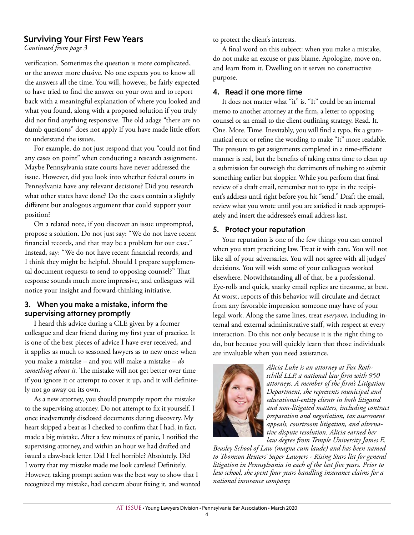### Surviving Your First Few Years

*Continued from page 3*

verification. Sometimes the question is more complicated, or the answer more elusive. No one expects you to know all the answers all the time. You will, however, be fairly expected to have tried to find the answer on your own and to report back with a meaningful explanation of where you looked and what you found, along with a proposed solution if you truly did not find anything responsive. The old adage "there are no dumb questions" does not apply if you have made little effort to understand the issues.

For example, do not just respond that you "could not find any cases on point" when conducting a research assignment. Maybe Pennsylvania state courts have never addressed the issue. However, did you look into whether federal courts in Pennsylvania have any relevant decisions? Did you research what other states have done? Do the cases contain a slightly different but analogous argument that could support your position?

On a related note, if you discover an issue unprompted, propose a solution. Do not just say: "We do not have recent financial records, and that may be a problem for our case." Instead, say: "We do not have recent financial records, and I think they might be helpful. Should I prepare supplemental document requests to send to opposing counsel?" That response sounds much more impressive, and colleagues will notice your insight and forward-thinking initiative.

#### 3. When you make a mistake, inform the supervising attorney promptly

I heard this advice during a CLE given by a former colleague and dear friend during my first year of practice. It is one of the best pieces of advice I have ever received, and it applies as much to seasoned lawyers as to new ones: when you make a mistake – and you will make a mistake – *do something about it.* The mistake will not get better over time if you ignore it or attempt to cover it up, and it will definitely not go away on its own.

As a new attorney, you should promptly report the mistake to the supervising attorney. Do not attempt to fix it yourself. I once inadvertently disclosed documents during discovery. My heart skipped a beat as I checked to confirm that I had, in fact, made a big mistake. After a few minutes of panic, I notified the supervising attorney, and within an hour we had drafted and issued a claw-back letter. Did I feel horrible? Absolutely. Did I worry that my mistake made me look careless? Definitely. However, taking prompt action was the best way to show that I recognized my mistake, had concern about fixing it, and wanted to protect the client's interests.

A final word on this subject: when you make a mistake, do not make an excuse or pass blame. Apologize, move on, and learn from it. Dwelling on it serves no constructive purpose.

#### 4. Read it one more time

It does not matter what "it" is. "It" could be an internal memo to another attorney at the firm, a letter to opposing counsel or an email to the client outlining strategy. Read. It. One. More. Time. Inevitably, you will find a typo, fix a grammatical error or refine the wording to make "it" more readable. The pressure to get assignments completed in a time-efficient manner is real, but the benefits of taking extra time to clean up a submission far outweigh the detriments of rushing to submit something earlier but sloppier. While you perform that final review of a draft email, remember not to type in the recipient's address until right before you hit "send." Draft the email, review what you wrote until you are satisfied it reads appropriately and insert the addressee's email address last.

#### 5. Protect your reputation

Your reputation is one of the few things you can control when you start practicing law. Treat it with care. You will not like all of your adversaries. You will not agree with all judges' decisions. You will wish some of your colleagues worked elsewhere. Notwithstanding all of that, be a professional. Eye-rolls and quick, snarky email replies are tiresome, at best. At worst, reports of this behavior will circulate and detract from any favorable impression someone may have of your legal work. Along the same lines, treat *everyone*, including internal and external administrative staff, with respect at every interaction. Do this not only because it is the right thing to do, but because you will quickly learn that those individuals are invaluable when you need assistance.



*Alicia Luke is an attorney at Fox Rothschild LLP, a national law firm with 950 attorneys. A member of the firm's Litigation Department, she represents municipal and educational-entity clients in both litigated and non-litigated matters, including contract preparation and negotiation, tax assessment appeals, courtroom litigation, and alternative dispute resolution. Alicia earned her law degree from Temple University James E.* 

*Beasley School of Law (magna cum laude) and has been named to Thomson Reuters' Super Lawyers - Rising Stars list for general litigation in Pennsylvania in each of the last five years. Prior to law school, she spent four years handling insurance claims for a national insurance company.*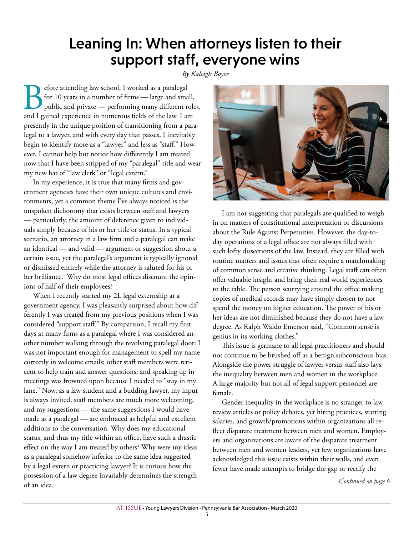## Leaning In: When attorneys listen to their support staff, everyone wins

#### *By Kaleigh Boyer*

**Before attending law school, I worked as a paralegal for 10 years in a number of firms — large and small, public and private — performing many different role and I gained experience in numerous fields of the law. I am** for 10 years in a number of firms — large and small, public and private — performing many different roles, presently in the unique position of transitioning from a paralegal to a lawyer, and with every day that passes, I inevitably begin to identify more as a "lawyer" and less as "staff." However, I cannot help but notice how differently I am treated now that I have been stripped of my "paralegal" title and wear my new hat of "law clerk" or "legal extern."

In my experience, it is true that many firms and government agencies have their own unique cultures and environments, yet a common theme I've always noticed is the unspoken dichotomy that exists between staff and lawyers — particularly, the amount of deference given to individuals simply because of his or her title or status. In a typical scenario, an attorney in a law firm and a paralegal can make an identical — and valid — argument or suggestion about a certain issue, yet the paralegal's argument is typically ignored or dismissed entirely while the attorney is saluted for his or her brilliance. Why do most legal offices discount the opinions of half of their employees?

When I recently started my 2L legal externship at a government agency, I was pleasantly surprised about how differently I was treated from my previous positions when I was considered "support staff." By comparison, I recall my first days at many firms as a paralegal where I was considered another number walking through the revolving paralegal door: I was not important enough for management to spell my name correctly in welcome emails; other staff members were reticent to help train and answer questions; and speaking up in meetings was frowned upon because I needed to "stay in my lane." Now, as a law student and a budding lawyer, my input is always invited, staff members are much more welcoming, and my suggestions — the same suggestions I would have made as a paralegal — are embraced as helpful and excellent additions to the conversation. Why does my educational status, and thus my title within an office, have such a drastic effect on the way I am treated by others? Why were my ideas as a paralegal somehow inferior to the same idea suggested by a legal extern or practicing lawyer? It is curious how the possession of a law degree invariably determines the strength of an idea.



I am not suggesting that paralegals are qualified to weigh in on matters of constitutional interpretation or discussions about the Rule Against Perpetuities. However, the day-today operations of a legal office are not always filled with such lofty dissections of the law. Instead, they are filled with routine matters and issues that often require a matchmaking of common sense and creative thinking. Legal staff can often offer valuable insight and bring their real world experiences to the table. The person scurrying around the office making copies of medical records may have simply chosen to not spend the money on higher education. The power of his or her ideas are not diminished because they do not have a law degree. As Ralph Waldo Emerson said, "Common sense is genius in its working clothes."

This issue is germane to all legal practitioners and should not continue to be brushed off as a benign subconscious bias. Alongside the power struggle of lawyer versus staff also lays the inequality between men and women in the workplace. A large majority but not all of legal support personnel are female.

Gender inequality in the workplace is no stranger to law review articles or policy debates, yet hiring practices, starting salaries, and growth/promotions within organizations all reflect disparate treatment between men and women. Employers and organizations are aware of the disparate treatment between men and women leaders, yet few organizations have acknowledged this issue exists within their walls, and even fewer have made attempts to bridge the gap or rectify the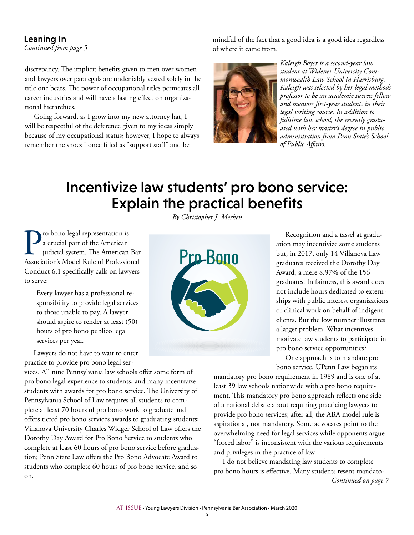### Leaning In

*Continued from page 5*

discrepancy. The implicit benefits given to men over women and lawyers over paralegals are undeniably vested solely in the title one bears. The power of occupational titles permeates all career industries and will have a lasting effect on organizational hierarchies.

Going forward, as I grow into my new attorney hat, I will be respectful of the deference given to my ideas simply because of my occupational status; however, I hope to always remember the shoes I once filled as "support staff" and be

mindful of the fact that a good idea is a good idea regardless of where it came from.



*Kaleigh Boyer is a second-year law student at Widener University Commonwealth Law School in Harrisburg. Kaleigh was selected by her legal methods professor to be an academic success fellow and mentors first-year students in their legal writing course. In addition to fulltime law school, she recently graduated with her master's degree in public administration from Penn State's School of Public Affairs.* 

## Incentivize law students' pro bono service: Explain the practical benefits

**Pro bono legal representation is**<br> **a** crucial part of the American<br>
judicial system. The American Bar<br>
Association's Model Rule of Professional a crucial part of the American judicial system. The American Bar Conduct 6.1 specifically calls on lawyers to serve:

> Every lawyer has a professional responsibility to provide legal services to those unable to pay. A lawyer should aspire to render at least (50) hours of pro bono publico legal services per year.

Lawyers do not have to wait to enter practice to provide pro bono legal ser-

vices. All nine Pennsylvania law schools offer some form of pro bono legal experience to students, and many incentivize students with awards for pro bono service. The University of Pennsylvania School of Law requires all students to complete at least 70 hours of pro bono work to graduate and offers tiered pro bono services awards to graduating students; Villanova University Charles Widger School of Law offers the Dorothy Day Award for Pro Bono Service to students who complete at least 60 hours of pro bono service before graduation; Penn State Law offers the Pro Bono Advocate Award to students who complete 60 hours of pro bono service, and so on.

*By Christopher J. Merken*



Recognition and a tassel at graduation may incentivize some students but, in 2017, only 14 Villanova Law graduates received the Dorothy Day Award, a mere 8.97% of the 156 graduates. In fairness, this award does not include hours dedicated to externships with public interest organizations or clinical work on behalf of indigent clients. But the low number illustrates a larger problem. What incentives motivate law students to participate in pro bono service opportunities?

One approach is to mandate pro bono service. UPenn Law began its

mandatory pro bono requirement in 1989 and is one of at least 39 law schools nationwide with a pro bono requirement. This mandatory pro bono approach reflects one side of a national debate about requiring practicing lawyers to provide pro bono services; after all, the ABA model rule is aspirational, not mandatory. Some advocates point to the overwhelming need for legal services while opponents argue "forced labor" is inconsistent with the various requirements and privileges in the practice of law.

I do not believe mandating law students to complete pro bono hours is effective. Many students resent mandato-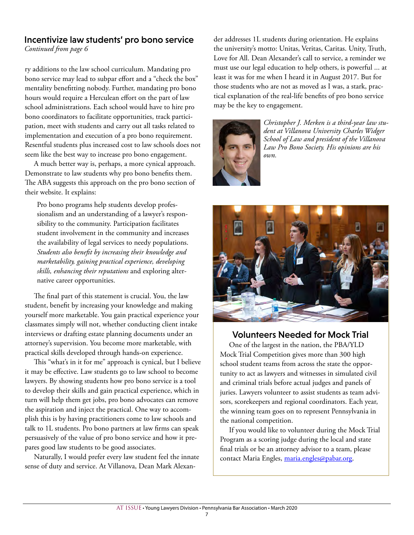### Incentivize law students' pro bono service

*Continued from page 6*

ry additions to the law school curriculum. Mandating pro bono service may lead to subpar effort and a "check the box" mentality benefitting nobody. Further, mandating pro bono hours would require a Herculean effort on the part of law school administrations. Each school would have to hire pro bono coordinators to facilitate opportunities, track participation, meet with students and carry out all tasks related to implementation and execution of a pro bono requirement. Resentful students plus increased cost to law schools does not seem like the best way to increase pro bono engagement.

A much better way is, perhaps, a more cynical approach. Demonstrate to law students why pro bono benefits them. The ABA suggests this approach on the pro bono section of their website. It explains:

Pro bono programs help students develop professionalism and an understanding of a lawyer's responsibility to the community. Participation facilitates student involvement in the community and increases the availability of legal services to needy populations. *Students also benefit by increasing their knowledge and marketability, gaining practical experience, developing skills, enhancing their reputations* and exploring alternative career opportunities.

The final part of this statement is crucial. You, the law student, benefit by increasing your knowledge and making yourself more marketable. You gain practical experience your classmates simply will not, whether conducting client intake interviews or drafting estate planning documents under an attorney's supervision. You become more marketable, with practical skills developed through hands-on experience.

This "what's in it for me" approach is cynical, but I believe it may be effective. Law students go to law school to become lawyers. By showing students how pro bono service is a tool to develop their skills and gain practical experience, which in turn will help them get jobs, pro bono advocates can remove the aspiration and inject the practical. One way to accomplish this is by having practitioners come to law schools and talk to 1L students. Pro bono partners at law firms can speak persuasively of the value of pro bono service and how it prepares good law students to be good associates.

Naturally, I would prefer every law student feel the innate sense of duty and service. At Villanova, Dean Mark Alexander addresses 1L students during orientation. He explains the university's motto: Unitas, Veritas, Caritas. Unity, Truth, Love for All. Dean Alexander's call to service, a reminder we must use our legal education to help others, is powerful ... at least it was for me when I heard it in August 2017. But for those students who are not as moved as I was, a stark, practical explanation of the real-life benefits of pro bono service may be the key to engagement.



*Christopher J. Merken is a third-year law student at Villanova University Charles Widger School of Law and president of the Villanova Law Pro Bono Society. His opinions are his own.*



### Volunteers Needed for Mock Trial

One of the largest in the nation, the PBA/YLD Mock Trial Competition gives more than 300 high school student teams from across the state the opportunity to act as lawyers and witnesses in simulated civil and criminal trials before actual judges and panels of juries. Lawyers volunteer to assist students as team advisors, scorekeepers and regional coordinators. Each year, the winning team goes on to represent Pennsylvania in the national competition.

If you would like to volunteer during the Mock Trial Program as a scoring judge during the local and state final trials or be an attorney advisor to a team, please contact Maria Engles, maria.engles@pabar.org.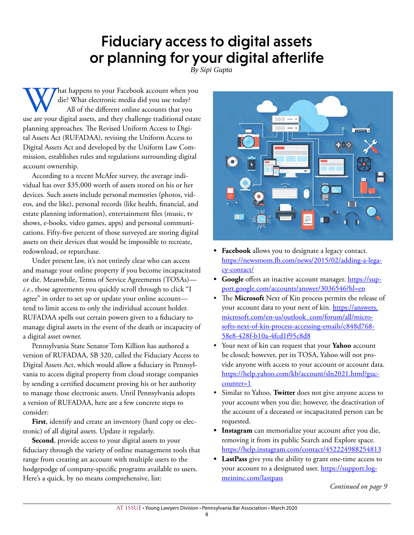## Fiduciary access to digital assets or planning for your digital afterlife

*By Sipi Gupta*

What happens to your Facebook account when you die? What electronic media did you use today?<br>All of the different online accounts that you use are your digital assets, and they challenge traditional estate die? What electronic media did you use today? All of the different online accounts that you planning approaches. The Revised Uniform Access to Digital Assets Act (RUFADAA), revising the Uniform Access to Digital Assets Act and developed by the Uniform Law Commission, establishes rules and regulations surrounding digital account ownership.

According to a recent McAfee survey, the average individual has over \$35,000 worth of assets stored on his or her devices. Such assets include personal memories (photos, videos, and the like), personal records (like health, financial, and estate planning information), entertainment files (music, tv shows, e-books, video games, apps) and personal communications. Fifty-five percent of those surveyed are storing digital assets on their devices that would be impossible to recreate, redownload, or repurchase.

Under present law, it's not entirely clear who can access and manage your online property if you become incapacitated or die. Meanwhile, Terms of Service Agreements (TOSAs) *i.e.*, those agreements you quickly scroll through to click "I agree" in order to set up or update your online account tend to limit access to only the individual account holder. RUFADAA spells out certain powers given to a fiduciary to manage digital assets in the event of the death or incapacity of a digital asset owner.

Pennsylvania State Senator Tom Killion has authored a version of RUFADAA, SB 320, called the Fiduciary Access to Digital Assets Act, which would allow a fiduciary in Pennsylvania to access digital property from cloud storage companies by sending a certified document proving his or her authority to manage those electronic assets. Until Pennsylvania adopts a version of RUFADAA, here are a few concrete steps to consider:

**First**, identify and create an inventory (hard copy or electronic) of all digital assets. Update it regularly.

**Second**, provide access to your digital assets to your fiduciary through the variety of online management tools that range from creating an account with multiple users to the hodgepodge of company-specific programs available to users. Here's a quick, by no means comprehensive, list:



- **• Facebook** allows you to designate a legacy contact. https://newsroom.fb.com/news/2015/02/adding-a-legacy-contact/
- **• Google** offers an inactive account manager. https://support.google.com/accounts/answer/3036546?hl=en
- The **Microsoft** Next of Kin process permits the release of your account data to your next of kin. https://answers. microsoft.com/en-us/outlook\_com/forum/all/microsofts-next-of-kin-process-accessing-emails/c848d768- 58e8-428f-b10a-4fcd1f95c8d8
- Your next of kin can request that your **Yahoo** account be closed; however, per its TOSA, Yahoo will not provide anyone with access to your account or account data. https://help.yahoo.com/kb/account/sln2021.html?guccounter=1
- Similar to Yahoo, **Twitter** does not give anyone access to your account when you die; however, the deactivation of the account of a deceased or incapacitated person can be requested.
- **• Instagram** can memorialize your account after you die, removing it from its public Search and Explore space. https://help.instagram.com/contact/452224988254813
- **• LastPass** give you the ability to grant one-time access to your account to a designated user. https://support.logmeininc.com/lastpass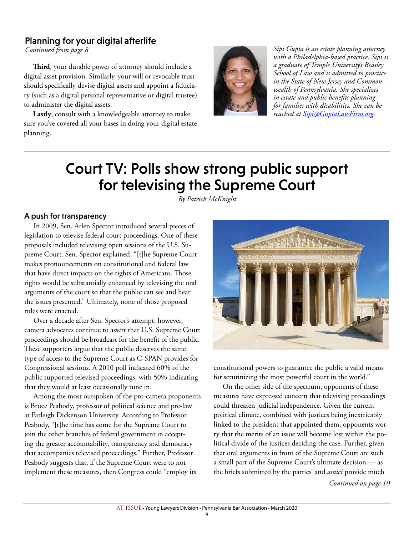### Planning for your digital afterlife

*Continued from page 8*

**Third**, your durable power of attorney should include a digital asset provision. Similarly, your will or revocable trust should specifically devise digital assets and appoint a fiduciary (such as a digital personal representative or digital trustee) to administer the digital assets.

**Lastly**, consult with a knowledgeable attorney to make sure you've covered all your bases in doing your digital estate planning.



*Sipi Gupta is an estate planning attorney with a Philadelphia-based practice. Sipi is a graduate of Temple University's Beasley School of Law and is admitted to practice in the State of New Jersey and Commonwealth of Pennsylvania. She specializes in estate and public benefits planning for families with disabilities. She can be reached at Sipi@GuptaLawFirm.org.*

## Court TV: Polls show strong public support for televising the Supreme Court

*By Patrick McKnight*

### A push for transparency

In 2009, Sen. Arlen Spector introduced several pieces of legislation to televise federal court proceedings. One of these proposals included televising open sessions of the U.S. Supreme Court. Sen. Spector explained, "[t]he Supreme Court makes pronouncements on constitutional and federal law that have direct impacts on the rights of Americans. Those rights would be substantially enhanced by televising the oral arguments of the court so that the public can see and hear the issues presented." Ultimately, none of those proposed rules were enacted.

Over a decade after Sen. Spector's attempt, however, camera advocates continue to assert that U.S. Supreme Court proceedings should be broadcast for the benefit of the public. These supporters argue that the public deserves the same type of access to the Supreme Court as C-SPAN provides for Congressional sessions. A 2010 poll indicated 60% of the public supported televised proceedings, with 50% indicating that they would at least occasionally tune in.

Among the most outspoken of the pro-camera proponents is Bruce Peabody, professor of political science and pre-law at Farleigh Dickenson University. According to Professor Peabody, "[t]he time has come for the Supreme Court to join the other branches of federal government in accepting the greater accountability, transparency and democracy that accompanies televised proceedings." Further, Professor Peabody suggests that, if the Supreme Court were to not implement these measures, then Congress could "employ its



constitutional powers to guarantee the public a valid means for scrutinizing the most powerful court in the world."

On the other side of the spectrum, opponents of these measures have expressed concern that televising proceedings could threaten judicial independence. Given the current political climate, combined with justices being inextricably linked to the president that appointed them, opponents worry that the merits of an issue will become lost within the political divide of the justices deciding the case. Further, given that oral arguments in front of the Supreme Court are such a small part of the Supreme Court's ultimate decision — as the briefs submitted by the parties' and *amici* provide much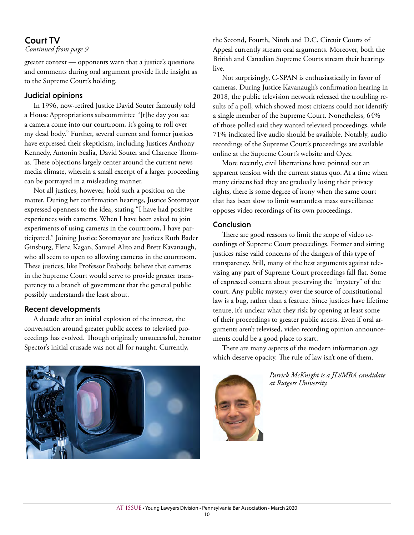### Court TV

#### *Continued from page 9*

greater context — opponents warn that a justice's questions and comments during oral argument provide little insight as to the Supreme Court's holding.

#### Judicial opinions

In 1996, now-retired Justice David Souter famously told a House Appropriations subcommittee "[t]he day you see a camera come into our courtroom, it's going to roll over my dead body." Further, several current and former justices have expressed their skepticism, including Justices Anthony Kennedy, Antonin Scalia, David Souter and Clarence Thomas. These objections largely center around the current news media climate, wherein a small excerpt of a larger proceeding can be portrayed in a misleading manner.

Not all justices, however, hold such a position on the matter. During her confirmation hearings, Justice Sotomayor expressed openness to the idea, stating "I have had positive experiences with cameras. When I have been asked to join experiments of using cameras in the courtroom, I have participated." Joining Justice Sotomayor are Justices Ruth Bader Ginsburg, Elena Kagan, Samuel Alito and Brett Kavanaugh, who all seem to open to allowing cameras in the courtroom. These justices, like Professor Peabody, believe that cameras in the Supreme Court would serve to provide greater transparency to a branch of government that the general public possibly understands the least about.

### Recent developments

A decade after an initial explosion of the interest, the conversation around greater public access to televised proceedings has evolved. Though originally unsuccessful, Senator Spector's initial crusade was not all for naught. Currently,

the Second, Fourth, Ninth and D.C. Circuit Courts of Appeal currently stream oral arguments. Moreover, both the British and Canadian Supreme Courts stream their hearings live.

Not surprisingly, C-SPAN is enthusiastically in favor of cameras. During Justice Kavanaugh's confirmation hearing in 2018, the public television network released the troubling results of a poll, which showed most citizens could not identify a single member of the Supreme Court. Nonetheless, 64% of those polled said they wanted televised proceedings, while 71% indicated live audio should be available. Notably, audio recordings of the Supreme Court's proceedings are available online at the Supreme Court's website and Oyez.

More recently, civil libertarians have pointed out an apparent tension with the current status quo. At a time when many citizens feel they are gradually losing their privacy rights, there is some degree of irony when the same court that has been slow to limit warrantless mass surveillance opposes video recordings of its own proceedings.

#### Conclusion

There are good reasons to limit the scope of video recordings of Supreme Court proceedings. Former and sitting justices raise valid concerns of the dangers of this type of transparency. Still, many of the best arguments against televising any part of Supreme Court proceedings fall flat. Some of expressed concern about preserving the "mystery" of the court. Any public mystery over the source of constitutional law is a bug, rather than a feature. Since justices have lifetime tenure, it's unclear what they risk by opening at least some of their proceedings to greater public access. Even if oral arguments aren't televised, video recording opinion announcements could be a good place to start.

There are many aspects of the modern information age which deserve opacity. The rule of law isn't one of them.





*Patrick McKnight is a JD/MBA candidate at Rutgers University.*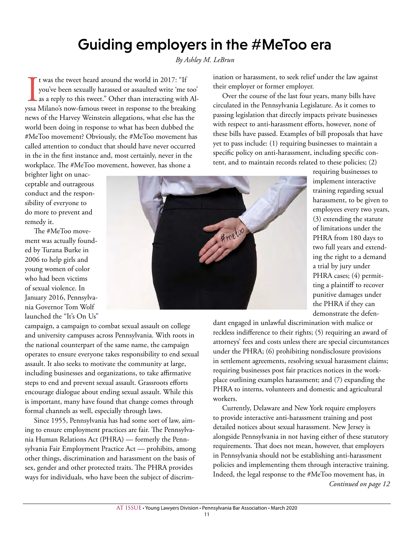### AT ISSUE • Young Lawyers Division • Pennsylvania Bar Association • March 2020 11

## Guiding employers in the #MeToo era

*By Ashley M. LeBrun*

It was the tweet heard around the world in 2017: "If you've been sexually harassed or assaulted write 'me too' as a reply to this tweet." Other than interacting with Alyssa Milano's now-famous tweet in response to the brea t was the tweet heard around the world in 2017: "If you've been sexually harassed or assaulted write 'me too' as a reply to this tweet." Other than interacting with Alnews of the Harvey Weinstein allegations, what else has the world been doing in response to what has been dubbed the #MeToo movement? Obviously, the #MeToo movement has called attention to conduct that should have never occurred in the in the first instance and, most certainly, never in the workplace. The #MeToo movement, however, has shone a

brighter light on unacceptable and outrageous conduct and the responsibility of everyone to do more to prevent and remedy it.

The #MeToo movement was actually founded by Turana Burke in 2006 to help girls and young women of color who had been victims of sexual violence. In January 2016, Pennsylvania Governor Tom Wolf launched the "It's On Us"

campaign, a campaign to combat sexual assault on college and university campuses across Pennsylvania. With roots in the national counterpart of the same name, the campaign operates to ensure everyone takes responsibility to end sexual assault. It also seeks to motivate the community at large, including businesses and organizations, to take affirmative steps to end and prevent sexual assault. Grassroots efforts encourage dialogue about ending sexual assault. While this is important, many have found that change comes through formal channels as well, especially through laws.

Since 1955, Pennsylvania has had some sort of law, aiming to ensure employment practices are fair. The Pennsylvania Human Relations Act (PHRA) — formerly the Pennsylvania Fair Employment Practice Act — prohibits, among other things, discrimination and harassment on the basis of sex, gender and other protected traits. The PHRA provides ways for individuals, who have been the subject of discrimination or harassment, to seek relief under the law against their employer or former employer.

Over the course of the last four years, many bills have circulated in the Pennsylvania Legislature. As it comes to passing legislation that directly impacts private businesses with respect to anti-harassment efforts, however, none of these bills have passed. Examples of bill proposals that have yet to pass include: (1) requiring businesses to maintain a specific policy on anti-harassment, including specific content, and to maintain records related to these policies; (2)

> requiring businesses to implement interactive training regarding sexual harassment, to be given to employees every two years, (3) extending the statute of limitations under the PHRA from 180 days to two full years and extending the right to a demand a trial by jury under PHRA cases; (4) permitting a plaintiff to recover punitive damages under the PHRA if they can demonstrate the defen-

dant engaged in unlawful discrimination with malice or reckless indifference to their rights; (5) requiring an award of attorneys' fees and costs unless there are special circumstances under the PHRA; (6) prohibiting nondisclosure provisions in settlement agreements, resolving sexual harassment claims; requiring businesses post fair practices notices in the workplace outlining examples harassment; and (7) expanding the PHRA to interns, volunteers and domestic and agricultural workers.

Currently, Delaware and New York require employers to provide interactive anti-harassment training and post detailed notices about sexual harassment. New Jersey is alongside Pennsylvania in not having either of these statutory requirements. That does not mean, however, that employers in Pennsylvania should not be establishing anti-harassment policies and implementing them through interactive training. Indeed, the legal response to the #MeToo movement has, in *Continued on page 12*

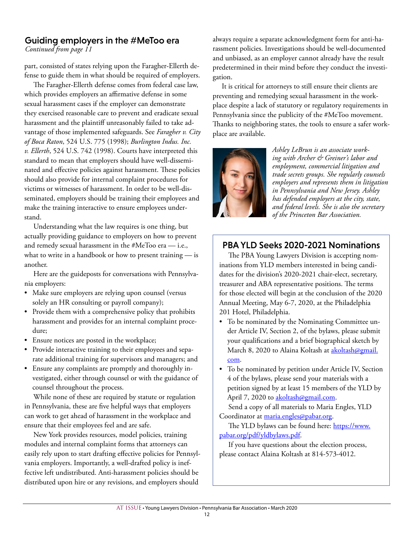## Guiding employers in the #MeToo era

*Continued from page 11*

part, consisted of states relying upon the Faragher-Ellerth defense to guide them in what should be required of employers.

The Faragher-Ellerth defense comes from federal case law, which provides employers an affirmative defense in some sexual harassment cases if the employer can demonstrate they exercised reasonable care to prevent and eradicate sexual harassment and the plaintiff unreasonably failed to take advantage of those implemented safeguards. See *Faragher v. City of Boca Raton*, 524 U.S. 775 (1998); *Burlington Indus. Inc. v. Ellerth*, 524 U.S. 742 (1998). Courts have interpreted this standard to mean that employers should have well-disseminated and effective policies against harassment. These policies should also provide for internal complaint procedures for victims or witnesses of harassment. In order to be well-disseminated, employers should be training their employees and make the training interactive to ensure employees understand.

Understanding what the law requires is one thing, but actually providing guidance to employers on how to prevent and remedy sexual harassment in the #MeToo era — i.e., what to write in a handbook or how to present training — is another.

Here are the guideposts for conversations with Pennsylvania employers:

- Make sure employers are relying upon counsel (versus solely an HR consulting or payroll company);
- Provide them with a comprehensive policy that prohibits harassment and provides for an internal complaint procedure;
- Ensure notices are posted in the workplace;
- Provide interactive training to their employees and separate additional training for supervisors and managers; and
- Ensure any complaints are promptly and thoroughly investigated, either through counsel or with the guidance of counsel throughout the process.

While none of these are required by statute or regulation in Pennsylvania, these are five helpful ways that employers can work to get ahead of harassment in the workplace and ensure that their employees feel and are safe.

New York provides resources, model policies, training modules and internal complaint forms that attorneys can easily rely upon to start drafting effective policies for Pennsylvania employers. Importantly, a well-drafted policy is ineffective left undistributed. Anti-harassment policies should be distributed upon hire or any revisions, and employers should

always require a separate acknowledgment form for anti-harassment policies. Investigations should be well-documented and unbiased, as an employer cannot already have the result predetermined in their mind before they conduct the investigation.

It is critical for attorneys to still ensure their clients are preventing and remedying sexual harassment in the workplace despite a lack of statutory or regulatory requirements in Pennsylvania since the publicity of the #MeToo movement. Thanks to neighboring states, the tools to ensure a safer workplace are available.



*Ashley LeBrun is an associate working with Archer & Greiner's labor and employment, commercial litigation and trade secrets groups. She regularly counsels employers and represents them in litigation in Pennsylvania and New Jersey. Ashley has defended employers at the city, state, and federal levels. She is also the secretary of the Princeton Bar Association.*

### PBA YLD Seeks 2020-2021 Nominations

The PBA Young Lawyers Division is accepting nominations from YLD members interested in being candidates for the division's 2020-2021 chair-elect, secretary, treasurer and ABA representative positions. The terms for those elected will begin at the conclusion of the 2020 Annual Meeting, May 6-7, 2020, at the Philadelphia 201 Hotel, Philadelphia.

- To be nominated by the Nominating Committee under Article IV, Section 2, of the bylaws, please submit your qualifications and a brief biographical sketch by March 8, 2020 to Alaina Koltash at akoltash@gmail. com.
- To be nominated by petition under Article IV, Section 4 of the bylaws, please send your materials with a petition signed by at least 15 members of the YLD by April 7, 2020 to akoltash@gmail.com.

Send a copy of all materials to Maria Engles, YLD Coordinator at maria.engles@pabar.org.

The YLD bylaws can be found here: https://www. pabar.org/pdf/yldbylaws.pdf.

If you have questions about the election process, please contact Alaina Koltash at 814-573-4012.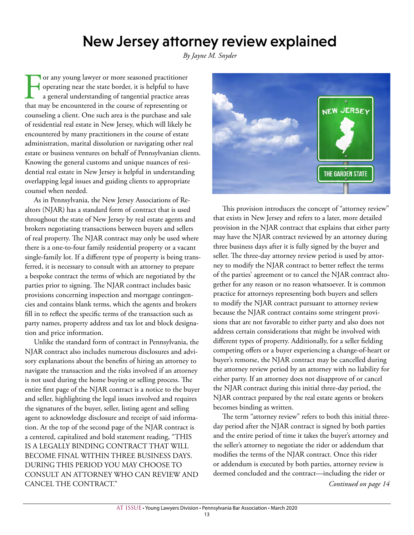## New Jersey attorney review explained

*By Jayne M. Snyder*

**Tor any young lawyer or more seasoned practitioner** operating near the state border, it is helpful to have a general understanding of tangential practice areas that may be encountered in the course of representing or counseling a client. One such area is the purchase and sale of residential real estate in New Jersey, which will likely be encountered by many practitioners in the course of estate administration, marital dissolution or navigating other real estate or business ventures on behalf of Pennsylvanian clients. Knowing the general customs and unique nuances of residential real estate in New Jersey is helpful in understanding overlapping legal issues and guiding clients to appropriate counsel when needed.

As in Pennsylvania, the New Jersey Associations of Realtors (NJAR) has a standard form of contract that is used throughout the state of New Jersey by real estate agents and brokers negotiating transactions between buyers and sellers of real property. The NJAR contract may only be used where there is a one-to-four family residential property or a vacant single-family lot. If a different type of property is being transferred, it is necessary to consult with an attorney to prepare a bespoke contract the terms of which are negotiated by the parties prior to signing. The NJAR contract includes basic provisions concerning inspection and mortgage contingencies and contains blank terms, which the agents and brokers fill in to reflect the specific terms of the transaction such as party names, property address and tax lot and block designation and price information.

Unlike the standard form of contract in Pennsylvania, the NJAR contract also includes numerous disclosures and advisory explanations about the benefits of hiring an attorney to navigate the transaction and the risks involved if an attorney is not used during the home buying or selling process. The entire first page of the NJAR contract is a notice to the buyer and seller, highlighting the legal issues involved and requires the signatures of the buyer, seller, listing agent and selling agent to acknowledge disclosure and receipt of said information. At the top of the second page of the NJAR contract is a centered, capitalized and bold statement reading, "THIS IS A LEGALLY BINDING CONTRACT THAT WILL BECOME FINAL WITHIN THREE BUSINESS DAYS. DURING THIS PERIOD YOU MAY CHOOSE TO CONSULT AN ATTORNEY WHO CAN REVIEW AND CANCEL THE CONTRACT."



This provision introduces the concept of "attorney review" that exists in New Jersey and refers to a later, more detailed provision in the NJAR contract that explains that either party may have the NJAR contract reviewed by an attorney during three business days after it is fully signed by the buyer and seller. The three-day attorney review period is used by attorney to modify the NJAR contract to better reflect the terms of the parties' agreement or to cancel the NJAR contract altogether for any reason or no reason whatsoever. It is common practice for attorneys representing both buyers and sellers to modify the NJAR contract pursuant to attorney review because the NJAR contract contains some stringent provisions that are not favorable to either party and also does not address certain considerations that might be involved with different types of property. Additionally, for a seller fielding competing offers or a buyer experiencing a change-of-heart or buyer's remorse, the NJAR contract may be cancelled during the attorney review period by an attorney with no liability for either party. If an attorney does not disapprove of or cancel the NJAR contract during this initial three-day period, the NJAR contract prepared by the real estate agents or brokers becomes binding as written.

The term "attorney review" refers to both this initial threeday period after the NJAR contract is signed by both parties and the entire period of time it takes the buyer's attorney and the seller's attorney to negotiate the rider or addendum that modifies the terms of the NJAR contract. Once this rider or addendum is executed by both parties, attorney review is deemed concluded and the contract—including the rider or *Continued on page 14*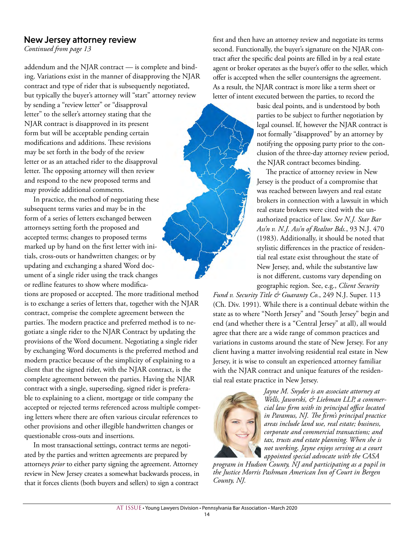### New Jersey attorney review

*Continued from page 13*

addendum and the NJAR contract — is complete and binding. Variations exist in the manner of disapproving the NJAR contract and type of rider that is subsequently negotiated, but typically the buyer's attorney will "start" attorney review

by sending a "review letter" or "disapproval letter" to the seller's attorney stating that the NJAR contract is disapproved in its present form but will be acceptable pending certain modifications and additions. These revisions may be set forth in the body of the review letter or as an attached rider to the disapproval letter. The opposing attorney will then review and respond to the new proposed terms and may provide additional comments.

In practice, the method of negotiating these subsequent terms varies and may be in the form of a series of letters exchanged between attorneys setting forth the proposed and accepted terms; changes to proposed terms marked up by hand on the first letter with initials, cross-outs or handwritten changes; or by updating and exchanging a shared Word document of a single rider using the track changes or redline features to show where modifica-

tions are proposed or accepted. The more traditional method is to exchange a series of letters that, together with the NJAR contract, comprise the complete agreement between the parties. The modern practice and preferred method is to negotiate a single rider to the NJAR Contract by updating the provisions of the Word document. Negotiating a single rider by exchanging Word documents is the preferred method and modern practice because of the simplicity of explaining to a client that the signed rider, with the NJAR contract, is the complete agreement between the parties. Having the NJAR contract with a single, superseding, signed rider is preferable to explaining to a client, mortgage or title company the accepted or rejected terms referenced across multiple competing letters where there are often various circular references to other provisions and other illegible handwritten changes or questionable cross-outs and insertions.

In most transactional settings, contract terms are negotiated by the parties and written agreements are prepared by attorneys *prior* to either party signing the agreement. Attorney review in New Jersey creates a somewhat backwards process, in that it forces clients (both buyers and sellers) to sign a contract

first and then have an attorney review and negotiate its terms second. Functionally, the buyer's signature on the NJAR contract after the specific deal points are filled in by a real estate agent or broker operates as the buyer's offer to the seller, which offer is accepted when the seller countersigns the agreement. As a result, the NJAR contract is more like a term sheet or letter of intent executed between the parties, to record the

> basic deal points, and is understood by both parties to be subject to further negotiation by legal counsel. If, however the NJAR contract is not formally "disapproved" by an attorney by notifying the opposing party prior to the conclusion of the three-day attorney review period, the NJAR contract becomes binding.

The practice of attorney review in New Jersey is the product of a compromise that was reached between lawyers and real estate brokers in connection with a lawsuit in which real estate brokers were cited with the unauthorized practice of law. *See N.J. Star Bar Ass'n v. N.J. Ass'n of Realtor Bds.*, 93 N.J. 470 (1983). Additionally, it should be noted that stylistic differences in the practice of residential real estate exist throughout the state of New Jersey, and, while the substantive law is not different, customs vary depending on geographic region. See, e.g., *Client Security* 

*Fund v. Security Title & Guaranty Co.*, 249 N.J. Super. 113 (Ch. Div. 1991). While there is a continual debate within the state as to where "North Jersey" and "South Jersey" begin and end (and whether there is a "Central Jersey" at all), all would agree that there are a wide range of common practices and variations in customs around the state of New Jersey. For any client having a matter involving residential real estate in New Jersey, it is wise to consult an experienced attorney familiar with the NJAR contract and unique features of the residential real estate practice in New Jersey.



*Jayne M. Snyder is an associate attorney at Wells, Jaworski, & Liebman LLP, a commercial law firm with its principal office located in Paramus, NJ. The firm's principal practice areas include land use, real estate; business, corporate and commercial transactions; and tax, trusts and estate planning. When she is not working, Jayne enjoys serving as a court appointed special advocate with the CASA* 

*program in Hudson County, NJ and participating as a pupil in the Justice Morris Pashman American Inn of Court in Bergen County, NJ.*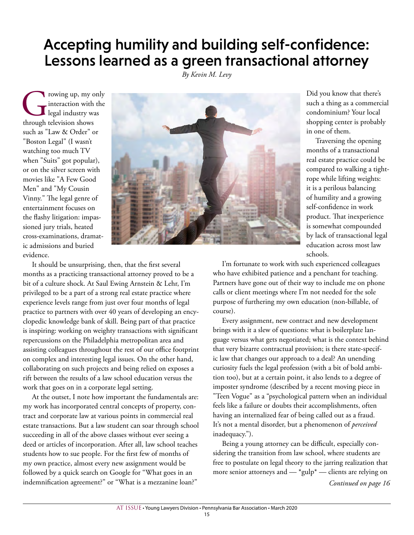## Accepting humility and building self-confidence: Lessons learned as a green transactional attorney

*By Kevin M. Levy*

The property of the state of the state of the state of the state of the state of the state of the state of the state of the state of the state of the state of the state of the state of the state of the state of the state o interaction with the legal industry was such as "Law & Order" or "Boston Legal" (I wasn't watching too much TV when "Suits" got popular), or on the silver screen with movies like "A Few Good Men" and "My Cousin Vinny." The legal genre of entertainment focuses on the flashy litigation: impassioned jury trials, heated cross-examinations, dramatic admissions and buried evidence.



Did you know that there's such a thing as a commercial condominium? Your local shopping center is probably in one of them.

Traversing the opening months of a transactional real estate practice could be compared to walking a tightrope while lifting weights: it is a perilous balancing of humility and a growing self-confidence in work product. That inexperience is somewhat compounded by lack of transactional legal education across most law schools.

It should be unsurprising, then, that the first several months as a practicing transactional attorney proved to be a bit of a culture shock. At Saul Ewing Arnstein & Lehr, I'm privileged to be a part of a strong real estate practice where experience levels range from just over four months of legal practice to partners with over 40 years of developing an encyclopedic knowledge bank of skill. Being part of that practice is inspiring: working on weighty transactions with significant repercussions on the Philadelphia metropolitan area and assisting colleagues throughout the rest of our office footprint on complex and interesting legal issues. On the other hand, collaborating on such projects and being relied on exposes a rift between the results of a law school education versus the work that goes on in a corporate legal setting.

At the outset, I note how important the fundamentals are: my work has incorporated central concepts of property, contract and corporate law at various points in commercial real estate transactions. But a law student can soar through school succeeding in all of the above classes without ever seeing a deed or articles of incorporation. After all, law school teaches students how to sue people. For the first few of months of my own practice, almost every new assignment would be followed by a quick search on Google for "What goes in an indemnification agreement?" or "What is a mezzanine loan?"

I'm fortunate to work with such experienced colleagues who have exhibited patience and a penchant for teaching. Partners have gone out of their way to include me on phone calls or client meetings where I'm not needed for the sole purpose of furthering my own education (non-billable, of course).

Every assignment, new contract and new development brings with it a slew of questions: what is boilerplate language versus what gets negotiated; what is the context behind that very bizarre contractual provision; is there state-specific law that changes our approach to a deal? An unending curiosity fuels the legal profession (with a bit of bold ambition too), but at a certain point, it also lends to a degree of imposter syndrome (described by a recent moving piece in "Teen Vogue" as a "psychological pattern when an individual feels like a failure or doubts their accomplishments, often having an internalized fear of being called out as a fraud. It's not a mental disorder, but a phenomenon of *perceived* inadequacy.").

Being a young attorney can be difficult, especially considering the transition from law school, where students are free to postulate on legal theory to the jarring realization that more senior attorneys and — \*gulp\* — clients are relying on *Continued on page 16*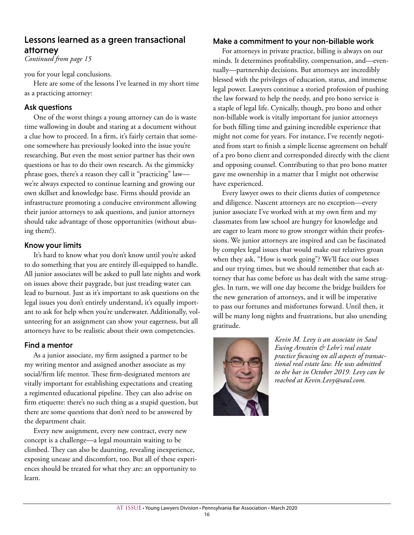### Lessons learned as a green transactional attorney

*Continued from page 15*

you for your legal conclusions.

Here are some of the lessons I've learned in my short time as a practicing attorney:

### Ask questions

One of the worst things a young attorney can do is waste time wallowing in doubt and staring at a document without a clue how to proceed. In a firm, it's fairly certain that someone somewhere has previously looked into the issue you're researching. But even the most senior partner has their own questions or has to do their own research. As the gimmicky phrase goes, there's a reason they call it "practicing" law we're always expected to continue learning and growing our own skillset and knowledge base. Firms should provide an infrastructure promoting a conducive environment allowing their junior attorneys to ask questions, and junior attorneys should take advantage of those opportunities (without abusing them!).

#### Know your limits

It's hard to know what you don't know until you're asked to do something that you are entirely ill-equipped to handle. All junior associates will be asked to pull late nights and work on issues above their paygrade, but just treading water can lead to burnout. Just as it's important to ask questions on the legal issues you don't entirely understand, it's equally important to ask for help when you're underwater. Additionally, volunteering for an assignment can show your eagerness, but all attorneys have to be realistic about their own competencies.

### Find a mentor

As a junior associate, my firm assigned a partner to be my writing mentor and assigned another associate as my social/firm life mentor. These firm-designated mentors are vitally important for establishing expectations and creating a regimented educational pipeline. They can also advise on firm etiquette: there's no such thing as a stupid question, but there are some questions that don't need to be answered by the department chair.

Every new assignment, every new contract, every new concept is a challenge—a legal mountain waiting to be climbed. They can also be daunting, revealing inexperience, exposing unease and discomfort, too. But all of these experiences should be treated for what they are: an opportunity to learn.

#### Make a commitment to your non-billable work

For attorneys in private practice, billing is always on our minds. It determines profitability, compensation, and—eventually—partnership decisions. But attorneys are incredibly blessed with the privileges of education, status, and immense legal power. Lawyers continue a storied profession of pushing the law forward to help the needy, and pro bono service is a staple of legal life. Cynically, though, pro bono and other non-billable work is vitally important for junior attorneys for both filling time and gaining incredible experience that might not come for years. For instance, I've recently negotiated from start to finish a simple license agreement on behalf of a pro bono client and corresponded directly with the client and opposing counsel. Contributing to that pro bono matter gave me ownership in a matter that I might not otherwise have experienced.

Every lawyer owes to their clients duties of competence and diligence. Nascent attorneys are no exception—every junior associate I've worked with at my own firm and my classmates from law school are hungry for knowledge and are eager to learn more to grow stronger within their professions. We junior attorneys are inspired and can be fascinated by complex legal issues that would make our relatives groan when they ask, "How is work going"? We'll face our losses and our trying times, but we should remember that each attorney that has come before us has dealt with the same struggles. In turn, we will one day become the bridge builders for the new generation of attorneys, and it will be imperative to pass our fortunes and misfortunes forward. Until then, it will be many long nights and frustrations, but also unending gratitude.



*Kevin M. Levy is an associate in Saul Ewing Arnstein & Lehr's real estate practice focusing on all aspects of transactional real estate law. He was admitted to the bar in October 2019. Levy can be reached at Kevin.Levy@saul.com.*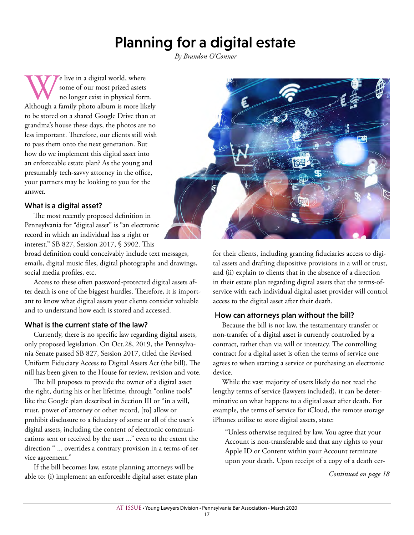# Planning for a digital estate

*By Brandon O'Connor*

We live in a digital world, where<br>
no longer exist in physical form.<br>
Although a family photo album is more likely some of our most prized assets no longer exist in physical form. to be stored on a shared Google Drive than at grandma's house these days, the photos are no less important. Therefore, our clients still wish to pass them onto the next generation. But how do we implement this digital asset into an enforceable estate plan? As the young and presumably tech-savvy attorney in the office, your partners may be looking to you for the answer.

### What is a digital asset?

The most recently proposed definition in Pennsylvania for "digital asset" is "an electronic record in which an individual has a right or interest." SB 827, Session 2017, § 3902. This

broad definition could conceivably include text messages, emails, digital music files, digital photographs and drawings, social media profiles, etc.

Access to these often password-protected digital assets after death is one of the biggest hurdles. Therefore, it is important to know what digital assets your clients consider valuable and to understand how each is stored and accessed.

### What is the current state of the law?

Currently, there is no specific law regarding digital assets, only proposed legislation. On Oct.28, 2019, the Pennsylvania Senate passed SB 827, Session 2017, titled the Revised Uniform Fiduciary Access to Digital Assets Act (the bill). The nill has been given to the House for review, revision and vote.

The bill proposes to provide the owner of a digital asset the right, during his or her lifetime, through "online tools" like the Google plan described in Section III or "in a will, trust, power of attorney or other record, [to] allow or prohibit disclosure to a fiduciary of some or all of the user's digital assets, including the content of electronic communications sent or received by the user ..." even to the extent the direction " ... overrides a contrary provision in a terms-of-service agreement."

If the bill becomes law, estate planning attorneys will be able to: (i) implement an enforceable digital asset estate plan



for their clients, including granting fiduciaries access to digital assets and drafting dispositive provisions in a will or trust, and (ii) explain to clients that in the absence of a direction in their estate plan regarding digital assets that the terms-ofservice with each individual digital asset provider will control access to the digital asset after their death.

#### How can attorneys plan without the bill?

Because the bill is not law, the testamentary transfer or non-transfer of a digital asset is currently controlled by a contract, rather than via will or intestacy. The controlling contract for a digital asset is often the terms of service one agrees to when starting a service or purchasing an electronic device.

While the vast majority of users likely do not read the lengthy terms of service (lawyers included), it can be determinative on what happens to a digital asset after death. For example, the terms of service for iCloud, the remote storage iPhones utilize to store digital assets, state:

"Unless otherwise required by law, You agree that your Account is non-transferable and that any rights to your Apple ID or Content within your Account terminate upon your death. Upon receipt of a copy of a death cer-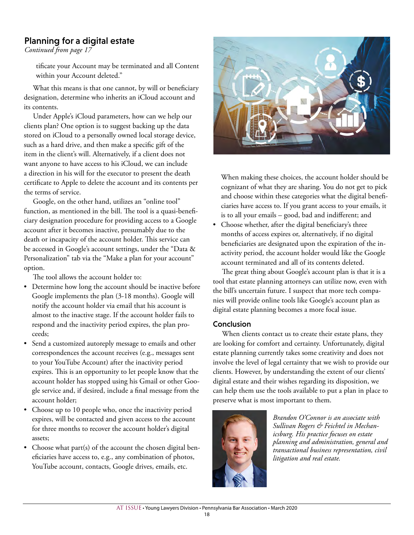### Planning for a digital estate

*Continued from page 17*

tificate your Account may be terminated and all Content within your Account deleted."

What this means is that one cannot, by will or beneficiary designation, determine who inherits an iCloud account and its contents.

Under Apple's iCloud parameters, how can we help our clients plan? One option is to suggest backing up the data stored on iCloud to a personally owned local storage device, such as a hard drive, and then make a specific gift of the item in the client's will. Alternatively, if a client does not want anyone to have access to his iCloud, we can include a direction in his will for the executor to present the death certificate to Apple to delete the account and its contents per the terms of service.

Google, on the other hand, utilizes an "online tool" function, as mentioned in the bill. The tool is a quasi-beneficiary designation procedure for providing access to a Google account after it becomes inactive, presumably due to the death or incapacity of the account holder. This service can be accessed in Google's account settings, under the "Data & Personalization" tab via the "Make a plan for your account" option.

The tool allows the account holder to:

- Determine how long the account should be inactive before Google implements the plan (3-18 months). Google will notify the account holder via email that his account is almost to the inactive stage. If the account holder fails to respond and the inactivity period expires, the plan proceeds;
- Send a customized autoreply message to emails and other correspondences the account receives (e.g., messages sent to your YouTube Account) after the inactivity period expires. This is an opportunity to let people know that the account holder has stopped using his Gmail or other Google service and, if desired, include a final message from the account holder;
- Choose up to 10 people who, once the inactivity period expires, will be contacted and given access to the account for three months to recover the account holder's digital assets;
- Choose what part(s) of the account the chosen digital beneficiaries have access to, e.g., any combination of photos, YouTube account, contacts, Google drives, emails, etc.



When making these choices, the account holder should be cognizant of what they are sharing. You do not get to pick and choose within these categories what the digital beneficiaries have access to. If you grant access to your emails, it is to all your emails – good, bad and indifferent; and

• Choose whether, after the digital beneficiary's three months of access expires or, alternatively, if no digital beneficiaries are designated upon the expiration of the inactivity period, the account holder would like the Google account terminated and all of its contents deleted.

The great thing about Google's account plan is that it is a tool that estate planning attorneys can utilize now, even with the bill's uncertain future. I suspect that more tech companies will provide online tools like Google's account plan as digital estate planning becomes a more focal issue.

#### Conclusion

When clients contact us to create their estate plans, they are looking for comfort and certainty. Unfortunately, digital estate planning currently takes some creativity and does not involve the level of legal certainty that we wish to provide our clients. However, by understanding the extent of our clients' digital estate and their wishes regarding its disposition, we can help them use the tools available to put a plan in place to preserve what is most important to them.



*Brandon O'Connor is an associate with Sullivan Rogers & Feichtel in Mechanicsburg. His practice focuses on estate planning and administration, general and transactional business representation, civil litigation and real estate.*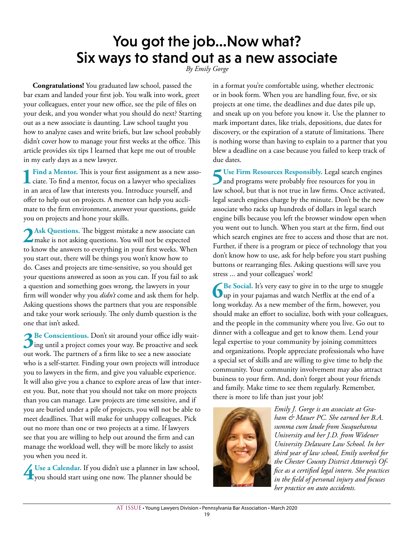# You got the job…Now what? Six ways to stand out as a new associate *By Emily Gorge*

**Congratulations!** You graduated law school, passed the bar exam and landed your first job. You walk into work, greet your colleagues, enter your new office, see the pile of files on your desk, and you wonder what you should do next? Starting out as a new associate is daunting. Law school taught you how to analyze cases and write briefs, but law school probably didn't cover how to manage your first weeks at the office. This article provides six tips I learned that kept me out of trouble in my early days as a new lawyer.

1 Find a Mentor. This is your first assignment as a new asso-<br>ciate. To find a mentor, focus on a lawyer who specializes in an area of law that interests you. Introduce yourself, and offer to help out on projects. A mentor can help you acclimate to the firm environment, answer your questions, guide you on projects and hone your skills.

2 Ask Questions. The biggest mistake a new associate can make is not asking questions. You will not be expected to know the answers to everything in your first weeks. When you start out, there will be things you won't know how to do. Cases and projects are time-sensitive, so you should get your questions answered as soon as you can. If you fail to ask a question and something goes wrong, the lawyers in your firm will wonder why you *didn't* come and ask them for help. Asking questions shows the partners that you are responsible and take your work seriously. The only dumb question is the one that isn't asked.

**3Be Conscientious.** Don't sit around your office idly wait-<br>ing until a project comes your way. Be proactive and seek out work. The partners of a firm like to see a new associate who is a self-starter. Finding your own projects will introduce you to lawyers in the firm, and give you valuable experience. It will also give you a chance to explore areas of law that interest you. But, note that you should not take on more projects than you can manage. Law projects are time sensitive, and if you are buried under a pile of projects, you will not be able to meet deadlines. That will make for unhappy colleagues. Pick out no more than one or two projects at a time. If lawyers see that you are willing to help out around the firm and can manage the workload well, they will be more likely to assist you when you need it.

**4 Use a Calendar.** If you didn't use a planner in law school, you should start using one now. The planner should be

in a format you're comfortable using, whether electronic or in book form. When you are handling four, five, or six projects at one time, the deadlines and due dates pile up, and sneak up on you before you know it. Use the planner to mark important dates, like trials, depositions, due dates for discovery, or the expiration of a statute of limitations. There is nothing worse than having to explain to a partner that you blew a deadline on a case because you failed to keep track of due dates.

**5Use Firm Resources Responsibly.** Legal search engines and programs were probably free resources for you in law school, but that is not true in law firms. Once activated, legal search engines charge by the minute. Don't be the new associate who racks up hundreds of dollars in legal search engine bills because you left the browser window open when you went out to lunch. When you start at the firm, find out which search engines are free to access and those that are not. Further, if there is a program or piece of technology that you don't know how to use, ask for help before you start pushing buttons or rearranging files. Asking questions will save you stress ... and your colleagues' work!

**6 Be Social.** It's very easy to give in to the urge to snuggle up in your pajamas and watch Netflix at the end of a long workday. As a new member of the firm, however, you should make an effort to socialize, both with your colleagues, and the people in the community where you live. Go out to dinner with a colleague and get to know them. Lend your legal expertise to your community by joining committees and organizations. People appreciate professionals who have a special set of skills and are willing to give time to help the community. Your community involvement may also attract business to your firm. And, don't forget about your friends and family. Make time to see them regularly. Remember, there is more to life than just your job!



*Emily J. Gorge is an associate at Graham & Mauer PC. She earned her B.A. summa cum laude from Susquehanna University and her J.D. from Widener University Delaware Law School. In her third year of law school, Emily worked for the Chester County District Attorney's Office as a certified legal intern. She practices in the field of personal injury and focuses her practice on auto accidents.*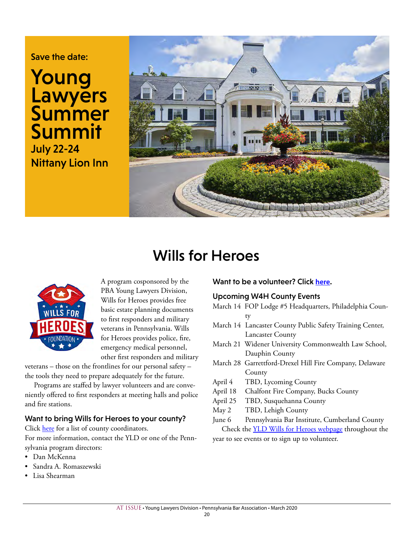### Save the date:

# Young **Lawyers Summer** Summit July 22-24 Nittany Lion Inn



# Wills for Heroes



A program cosponsored by the PBA Young Lawyers Division, Wills for Heroes provides free basic estate planning documents to first responders and military veterans in Pennsylvania. Wills for Heroes provides police, fire, emergency medical personnel, other first responders and military

veterans – those on the frontlines for our personal safety – the tools they need to prepare adequately for the future.

Programs are staffed by lawyer volunteers and are conveniently offered to first responders at meeting halls and police and fire stations.

#### Want to bring Wills for Heroes to your county?

Click here for a list of county coordinators.

For more information, contact the YLD or one of the Pennsylvania program directors:

- Dan McKenna
- Sandra A. Romaszewski
- Lisa Shearman

#### Want to be a volunteer? Click **here**.

#### Upcoming W4H County Events

- March 14 FOP Lodge #5 Headquarters, Philadelphia County
- March 14 Lancaster County Public Safety Training Center, Lancaster County
- March 21 Widener University Commonwealth Law School, Dauphin County
- March 28 Garrettford-Drexel Hill Fire Company, Delaware County
- April 4 TBD, Lycoming County
- April 18 Chalfont Fire Company, Bucks County
- April 25 TBD, Susquehanna County
- May 2 TBD, Lehigh County
- June 6 Pennsylvania Bar Institute, Cumberland County Check the **YLD Wills for Heroes webpage** throughout the

year to see events or to sign up to volunteer.